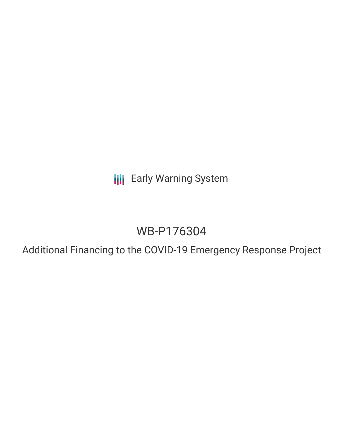**III** Early Warning System

# WB-P176304

Additional Financing to the COVID-19 Emergency Response Project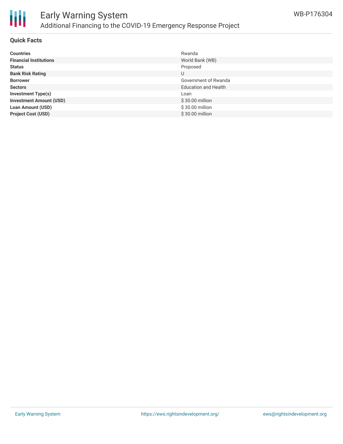

# Early Warning System Additional Financing to the COVID-19 Emergency Response Project

### **Quick Facts**

| <b>Countries</b>               | Rwanda                      |
|--------------------------------|-----------------------------|
| <b>Financial Institutions</b>  | World Bank (WB)             |
| <b>Status</b>                  | Proposed                    |
| <b>Bank Risk Rating</b>        | U                           |
| <b>Borrower</b>                | Government of Rwanda        |
| <b>Sectors</b>                 | <b>Education and Health</b> |
| <b>Investment Type(s)</b>      | Loan                        |
| <b>Investment Amount (USD)</b> | \$30.00 million             |
| <b>Loan Amount (USD)</b>       | \$30.00 million             |
| <b>Project Cost (USD)</b>      | \$30.00 million             |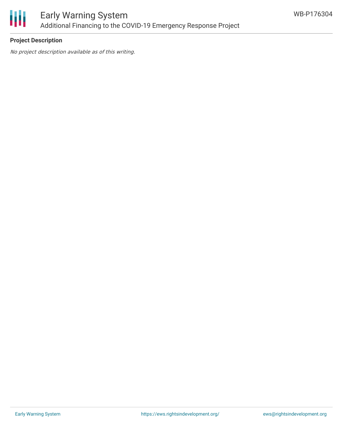

## **Project Description**

No project description available as of this writing.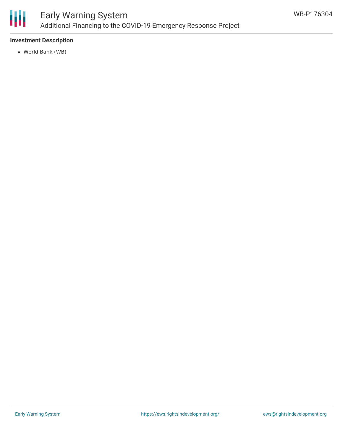

# Early Warning System Additional Financing to the COVID-19 Emergency Response Project

## **Investment Description**

World Bank (WB)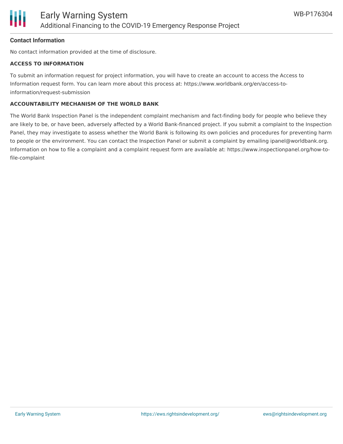

#### **Contact Information**

No contact information provided at the time of disclosure.

#### **ACCESS TO INFORMATION**

To submit an information request for project information, you will have to create an account to access the Access to Information request form. You can learn more about this process at: https://www.worldbank.org/en/access-toinformation/request-submission

#### **ACCOUNTABILITY MECHANISM OF THE WORLD BANK**

The World Bank Inspection Panel is the independent complaint mechanism and fact-finding body for people who believe they are likely to be, or have been, adversely affected by a World Bank-financed project. If you submit a complaint to the Inspection Panel, they may investigate to assess whether the World Bank is following its own policies and procedures for preventing harm to people or the environment. You can contact the Inspection Panel or submit a complaint by emailing ipanel@worldbank.org. Information on how to file a complaint and a complaint request form are available at: https://www.inspectionpanel.org/how-tofile-complaint